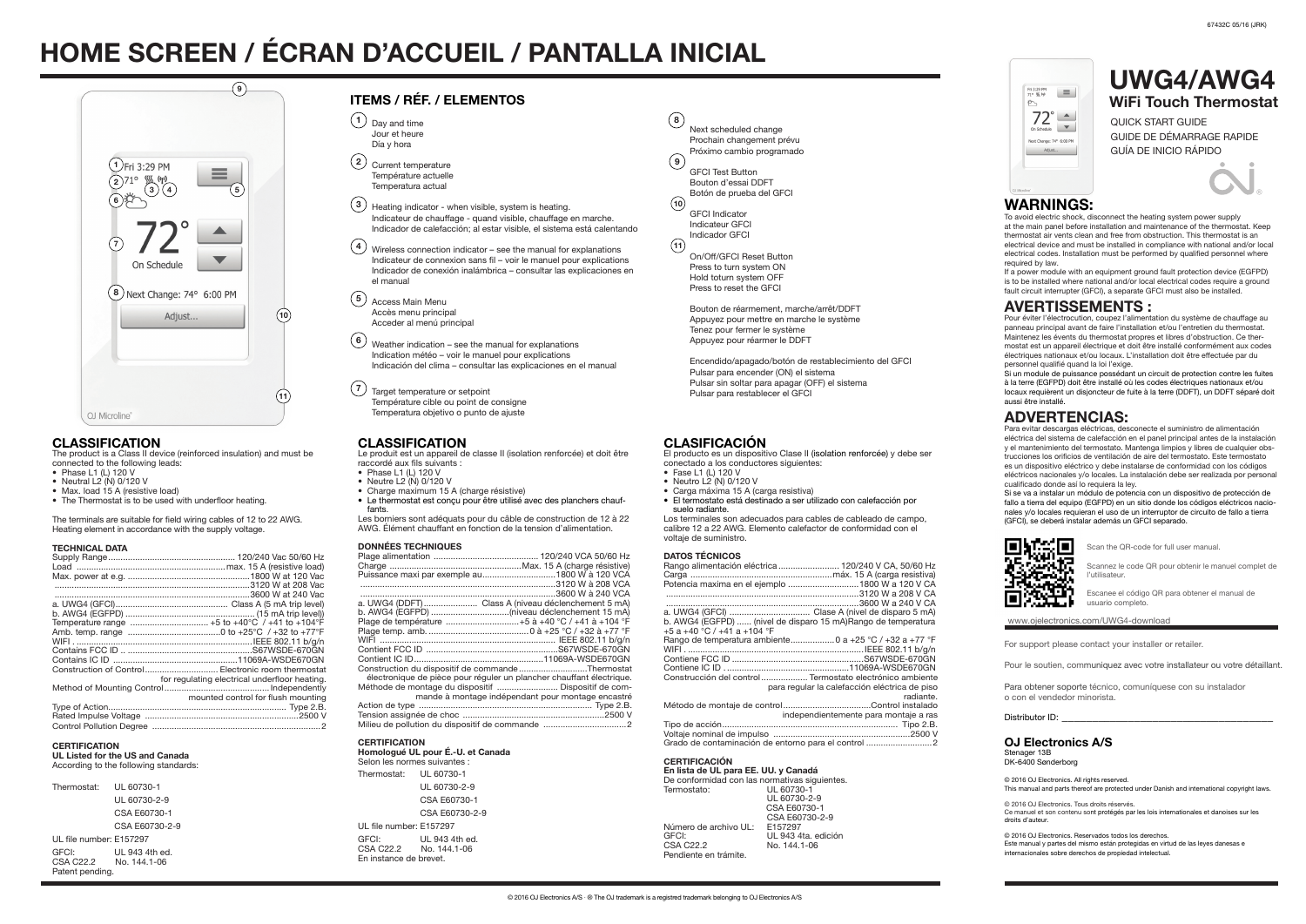QUICK START GUIDE GUIDE DE DÉMARRAGE RAPIDE GUÍA DE INICIO RÁPIDO



The product is a Class II device (reinforced insulation) and must be connected to the following leads:

- Phase  $11(1)120V$
- Neutral L2 (N) 0/120 V
- Max. load 15 A (resistive load)
- The Thermostat is to be used with underfloor heating.

The terminals are suitable for field wiring cables of 12 to 22 AWG. Heating element in accordance with the supply voltage.

#### TECHNICAL DATA

| Temperature range  +5 to +40°C / +41 to +104°F     |
|----------------------------------------------------|
|                                                    |
|                                                    |
|                                                    |
|                                                    |
| Construction of Control Electronic room thermostat |
| for regulating electrical underfloor heating.      |
|                                                    |
| mounted control for flush mounting                 |
|                                                    |
|                                                    |
|                                                    |
|                                                    |

# **CERTIFICATION**

UL Listed for the US and Canada

According to the following standards:

| Thermostat:                                        | UL 60730-1     |
|----------------------------------------------------|----------------|
|                                                    | UL 60730-2-9   |
|                                                    | CSA E60730-1   |
|                                                    | CSA F60730-2-9 |
| UL file number: F157297                            |                |
| GFCI:<br>CSA C22.2 No. 144.1-06<br>Patent pending. | UL 943 4th ed. |

Si se va a instalar un módulo de potencia con un dispositivo de protección de fallo a tierra del equipo (EGFPD) en un sitio donde los códigos eléctricos nacionales y/o locales requieran el uso de un interruptor de circuito de fallo a tierra (GFCI), se deberá instalar además un GFCI separado.



© 2016 OJ Electronics. All rights reserved. This collect and parts thereof are protected under Danish and international copyright laws.

# HOME SCREEN / ÉCRAN D'ACCUEIL / PANTALLA INICIAL

# WARNINGS:

To avoid electric shock, disconnect the heating system power supply at the main panel before installation and maintenance of the thermostat. Keep thermostat air vents clean and free from obstruction. This thermostat is an electrical device and must be installed in compliance with national and/or local electrical codes. Installation must be performed by qualified personnel where required by law.

If a power module with an equipment ground fault protection device (EGFPD) is to be installed where national and/or local electrical codes require a ground fault circuit interrupter (GFCI), a separate GFCI must also be installed.

## AVERTISSEMENTS :

- Fase L1 (L) 120 V
- Neutro L2 (N) 0/120 V • Carga máxima 15 A (carga resistiva)
- 
- El termostato está destinado a ser utilizado con calefacción por suelo radiante.

Pour éviter l'électrocution, coupez l'alimentation du système de chauffage au panneau principal avant de faire l'installation et/ou l'entretien du thermostat. Maintenez les évents du thermostat propres et libres d'obstruction. Ce thermostat est un appareil électrique et doit être installé conformément aux codes électriques nationaux et/ou locaux. L'installation doit être effectuée par du personnel qualifié quand la loi l'exige.

Si un module de puissance possédant un circuit de protection contre les fuites à la terre (EGFPD) doit être installé où les codes électriques nationaux et/ou locaux requièrent un disjoncteur de fuite à la terre (DDFT), un DDFT séparé doit aussi être installé.

# ADVERTENCIAS:

En lista de UL para EE. UU. y Canadá De conformidad con las normativas siguientes.<br>Termostato:  $\frac{11!60730-1}{1!60730-1}$ Termostato: UL 60730-1 UL 60730-2-9 CSA E60730-1 CSA E60730-2-9 Número de archivo UL: E157297 GFCI: UL 943 4ta. edición<br>CSA C22.2 No. 144.1-06

No. 144.1-06

Para evitar descargas eléctricas, desconecte el suministro de alimentación eléctrica del sistema de calefacción en el panel principal antes de la instalación y el mantenimiento del termostato. Mantenga limpios y libres de cualquier obstrucciones los orificios de ventilación de aire del termostato. Este termostato es un dispositivo eléctrico y debe instalarse de conformidad con los códigos eléctricos nacionales y/o locales. La instalación debe ser realizada por personal cualificado donde así lo requiera la ley.

- Phase  $11 (1) 120 V$
- Neutre L2 (N) 0/120 V
- Charge maximum 15 A (charge résistive)
- Le thermostat est conçu pour être utilisé avec des planchers chauffants.



## OJ Electronics A/S

Stenager 13B DK-6400 Sønderborg

© 2016 OJ Electronics. Tous droits réservés. Ce manuel et son contenu sont protégés par les lois internationales et danoises sur les droits d'auteur.

#### **CERTIFICATION** Homologué UL pour É.-U. et Canada

© 2016 OJ Electronics. Reservados todos los derechos. Este manual y partes del mismo están protegidas en virtud de las leyes danesas e internacionales sobre derechos de propiedad intelectual.



Heating indicator - when visible, system is heating. Indicateur de chauffage - quand visible, chauffage en marche. Indicador de calefacción; al estar visible, el sistema está calentando  $\left( 3\right)$ 

For support please contact your installer or retailer.

Pour le soutien, communiquez avec votre installateur ou votre détaillant.

Para obtener soporte técnico, comuníquese con su instalador o con el vendedor minorista.

Distributor ID:

 $\overline{4}$ ) Wireless connection indicator – see the manual for explanations Indicateur de connexion sans fil – voir le manuel pour explications Indicador de conexión inalámbrica – consultar las explicaciones en el manual

- Access Main Menu Accès menu principal Acceder al menú principal 5
- Weather indication see the manual for explanations Indication météo – voir le manuel pour explications Indicación del clima – consultar las explicaciones en el manual  $(6)$
- Target temperature or setpoint  $(7)$

#### www.ojelectronics.com/UWG4-download

Scan the QR-code for full user manual.

Scannez le code QR pour obtenir le manuel complet de l'utilisateur.

Escanee el código QR para obtener el manual de usuario completo.

El producto es un dispositivo Clase II (isolation renforcée) y debe ser conectado a los conductores siguientes:

Los terminales son adecuados para cables de cableado de campo, calibre 12 a 22 AWG. Elemento calefactor de conformidad con el voltaje de suministro.

#### DATOS TÉCNICOS

| PAIVY ILVIIVVY                                                |
|---------------------------------------------------------------|
| Rango alimentación eléctrica  120/240 V CA, 50/60 Hz          |
|                                                               |
| Potencia maxima en el ejemplo 1800 W a 120 V CA               |
|                                                               |
|                                                               |
|                                                               |
|                                                               |
| b. AWG4 (EGFPD)  (nivel de disparo 15 mA)Rango de temperatura |
| $+5a + 40$ °C / $+41a + 104$ °F                               |
| Rango de temperatura ambiente 0 a +25 °C / +32 a +77 °F       |
|                                                               |
|                                                               |
|                                                               |
|                                                               |
| Construcción del control  Termostato electrónico ambiente     |
| para regular la calefacción eléctrica de piso                 |
| radiante.                                                     |
|                                                               |
|                                                               |
| independientemente para montaje a ras                         |
|                                                               |
|                                                               |
| Grado de contaminación de entorno para el control             |
|                                                               |

#### CERTIFICACIÓN

Pendiente en trámite.

## CLASSIFICATION

Le produit est un appareil de classe II (isolation renforcée) et doit être raccordé aux fils suivants :

Les borniers sont adéquats pour du câble de construction de 12 à 22 AWG. Élément chauffant en fonction de la tension d'alimentation.

### DONNÉES TECHNIQUES

| Puissance maxi par exemple au1800 W à 120 VCA      |                                                                      |
|----------------------------------------------------|----------------------------------------------------------------------|
|                                                    |                                                                      |
|                                                    |                                                                      |
| a. UWG4 (DDFT) Class A (niveau déclenchement 5 mA) |                                                                      |
|                                                    |                                                                      |
| Plage de température  +5 à +40 °C / +41 à +104 °F  |                                                                      |
|                                                    |                                                                      |
|                                                    |                                                                      |
|                                                    |                                                                      |
|                                                    |                                                                      |
| Construction du dispositif de commandeThermostat   |                                                                      |
|                                                    | électronique de pièce pour réguler un plancher chauffant électrique. |
|                                                    |                                                                      |
|                                                    | mande à montage indépendant pour montage encastré                    |
|                                                    |                                                                      |
|                                                    |                                                                      |
|                                                    |                                                                      |
|                                                    |                                                                      |

#### Selon les normes suivantes :

Thermostat: UL 60730-1 UL 60730-2-9 CSA E60730-1 CSA E60730-2-9 UL file number: E157297 GFCI: UL 943 4th ed.<br>CSA C22.2 No. 144.1-06 No. 144.1-06 En instance de brevet.

 $(10)$  $\binom{11}{ }$  $\left( \mathbf{9}\right)$ Next scheduled change Prochain changement prévu Próximo cambio programado GFCI Test Button Bouton d'essai DDFT Botón de prueba del GFCI GFCI Indicator Indicateur GFCI Indicador GFCI On/Off/GFCI Reset Button Press to turn system ON Hold toturn system OFF Press to reset the GFCI Bouton de réarmement, marche/arrêt/DDFT Appuyez pour mettre en marche le système Tenez pour fermer le système Appuyez pour réarmer le DDFT  $\binom{8}{ }$ 

## ITEMS / RÉF. / ELEMENTOS

- $1)$  Day and time Jour et heure Día y hora
- Current temperature Température actuelle Temperatura actual  $(2)$



Encendido/apagado/botón de restablecimiento del GFCI Pulsar para encender (ON) el sistema Pulsar sin soltar para apagar (OFF) el sistema Pulsar para restablecer el GFCI

## **CLASIFICACIÓN**



### **CLASSIFICATION**